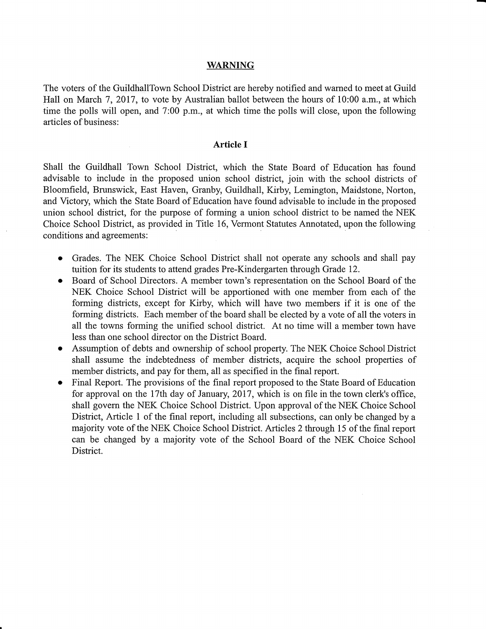## WARNING

The voters of the GuildhallTown School District are hereby notified and warned to meet at Guild Hall on March 7, 2017, to vote by Australian ballot between the hours of 10:00 a.m., at which time the polls will open, and 7:00 p.m., at which time the polls will close, upon the following articles of business:

## Article I

Shall the Guildhall Town School District, which the State Board of Education has found advisable to include in the proposed union school district, join with the school districts of Bloomfield, Brunswick, East Haven, Granby, Guildhall, Kirby, Lemington, Maidstone, Norton, and Victory, which the State Board of Education have found advisable to include in the proposed union school district, for the purpose of forming a union school district to be named the NEK Choice School District, as provided in Title 16, Vermont Statutes Annotated, upon the following conditions and agreements:

- Grades. The NEK Choice School District shall not operate any schools and shall pay tuition for its students to attend grades Pre-Kindergarten through Grade 12.
- Board of School Directors. A member town's representation on the School Board of the NEK Choice School District will be apportioned with one member fiom each of the forming districts, except for Kirby, which will have two members if it is one of the forming districts. Each member of the board shall be elected by a vote of all the voters in all the towns forming the unified school district. At no time will a member town have less than one school director on the District Board.
- Assumption of debts and ownership of school property. The NEK Choice School District shall assume the indebtedness of member districts, acquire the school properties of member districts, and pay for them, all as specified in the final report.
- Final Report. The provisions of the final report proposed to the State Board of Education  $\bullet$ for approval on the ITth day of January, 2017, which is on file in the town clerk's office, shall govern the NEK Choice School District. Upon approval of the NEK Choice School District, Article 1 of the final report, including all subsections, can only be changed by <sup>a</sup> majority vote of the NEK Choice School District. Articles 2 through 15 of the final report can be changed by a majority vote of the School Board of the NEK Choice School District.